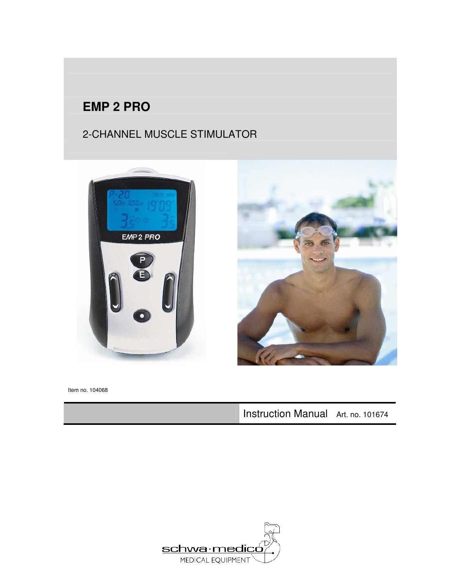### **EMP 2 PRO**

### 2-CHANNEL MUSCLE STIMULATOR





Item no. 104068

Instruction Manual Art. no. 101674

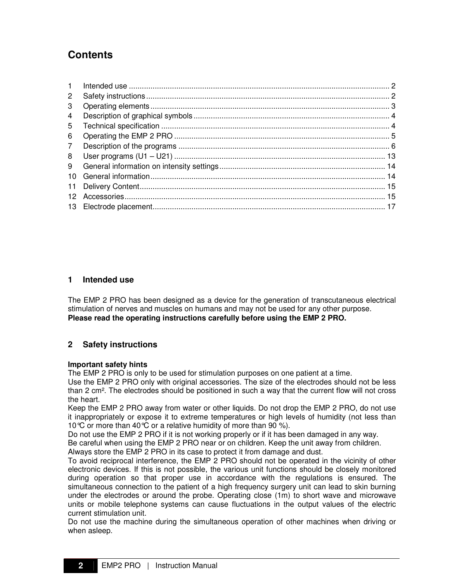### **Contents**

| $\mathbf{1}$    |  |
|-----------------|--|
| $\overline{2}$  |  |
| 3               |  |
| 4               |  |
| 5               |  |
| 6               |  |
| $\overline{7}$  |  |
| 8               |  |
| 9               |  |
| 10 <sup>1</sup> |  |
| 11              |  |
| 12              |  |
|                 |  |

#### **1 Intended use**

The EMP 2 PRO has been designed as a device for the generation of transcutaneous electrical stimulation of nerves and muscles on humans and may not be used for any other purpose. **Please read the operating instructions carefully before using the EMP 2 PRO.** 

#### **2 Safety instructions**

#### **Important safety hints**

The EMP 2 PRO is only to be used for stimulation purposes on one patient at a time.

Use the EMP 2 PRO only with original accessories. The size of the electrodes should not be less than 2 cm². The electrodes should be positioned in such a way that the current flow will not cross the heart.

Keep the EMP 2 PRO away from water or other liquids. Do not drop the EMP 2 PRO, do not use it inappropriately or expose it to extreme temperatures or high levels of humidity (not less than 10°C or more than 40°C or a relative humidity of more than 90 %).

Do not use the EMP 2 PRO if it is not working properly or if it has been damaged in any way.

Be careful when using the EMP 2 PRO near or on children. Keep the unit away from children.

Always store the EMP 2 PRO in its case to protect it from damage and dust.

To avoid reciprocal interference, the EMP 2 PRO should not be operated in the vicinity of other electronic devices. If this is not possible, the various unit functions should be closely monitored during operation so that proper use in accordance with the regulations is ensured. The simultaneous connection to the patient of a high frequency surgery unit can lead to skin burning under the electrodes or around the probe. Operating close (1m) to short wave and microwave units or mobile telephone systems can cause fluctuations in the output values of the electric current stimulation unit.

Do not use the machine during the simultaneous operation of other machines when driving or when asleep.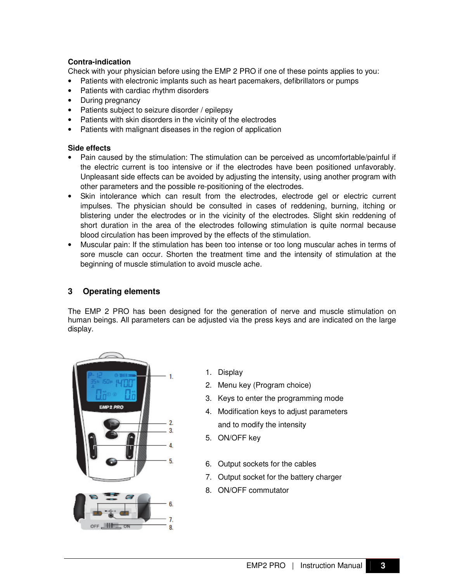#### **Contra-indication**

Check with your physician before using the EMP 2 PRO if one of these points applies to you:

- Patients with electronic implants such as heart pacemakers, defibrillators or pumps
- Patients with cardiac rhythm disorders
- During pregnancy
- Patients subject to seizure disorder / epilepsy
- Patients with skin disorders in the vicinity of the electrodes
- Patients with malignant diseases in the region of application

#### **Side effects**

- Pain caused by the stimulation: The stimulation can be perceived as uncomfortable/painful if the electric current is too intensive or if the electrodes have been positioned unfavorably. Unpleasant side effects can be avoided by adjusting the intensity, using another program with other parameters and the possible re-positioning of the electrodes.
- Skin intolerance which can result from the electrodes, electrode gel or electric current impulses. The physician should be consulted in cases of reddening, burning, itching or blistering under the electrodes or in the vicinity of the electrodes. Slight skin reddening of short duration in the area of the electrodes following stimulation is quite normal because blood circulation has been improved by the effects of the stimulation.
- Muscular pain: If the stimulation has been too intense or too long muscular aches in terms of sore muscle can occur. Shorten the treatment time and the intensity of stimulation at the beginning of muscle stimulation to avoid muscle ache.

#### **3 Operating elements**

The EMP 2 PRO has been designed for the generation of nerve and muscle stimulation on human beings. All parameters can be adjusted via the press keys and are indicated on the large display.



- 1. Display
- 2. Menu key (Program choice)
- 3. Keys to enter the programming mode
- 4. Modification keys to adjust parameters and to modify the intensity
- 5. ON/OFF key
- 6. Output sockets for the cables
- 7. Output socket for the battery charger
- 8. ON/OFF commutator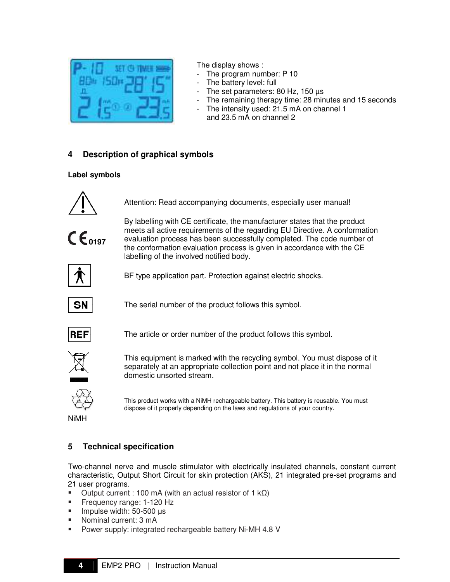

The display shows :

- The program number: P 10
- The battery level: full
- The set parameters: 80 Hz, 150  $\mu$ s
- The remaining therapy time: 28 minutes and 15 seconds
- The intensity used: 21.5 mA on channel 1 and 23.5 mA on channel 2

#### **4 Description of graphical symbols**

#### **Label symbols**



Attention: Read accompanying documents, especially user manual!



By labelling with CE certificate, the manufacturer states that the product meets all active requirements of the regarding EU Directive. A conformation evaluation process has been successfully completed. The code number of the conformation evaluation process is given in accordance with the CE labelling of the involved notified body.



BF type application part. Protection against electric shocks.



The serial number of the product follows this symbol.



The article or order number of the product follows this symbol.



This equipment is marked with the recycling symbol. You must dispose of it separately at an appropriate collection point and not place it in the normal domestic unsorted stream.



This product works with a NiMH rechargeable battery. This battery is reusable. You must dispose of it properly depending on the laws and regulations of your country.

NiMH

#### **5 Technical specification**

Two-channel nerve and muscle stimulator with electrically insulated channels, constant current characteristic, Output Short Circuit for skin protection (AKS), 21 integrated pre-set programs and 21 user programs.

- $\blacksquare$  Output current : 100 mA (with an actual resistor of 1 k $\Omega$ )
- **Frequency range: 1-120 Hz**
- $\blacksquare$  Impulse width: 50-500 µs
- Nominal current: 3 mA
- **Power supply: integrated rechargeable battery Ni-MH 4.8 V**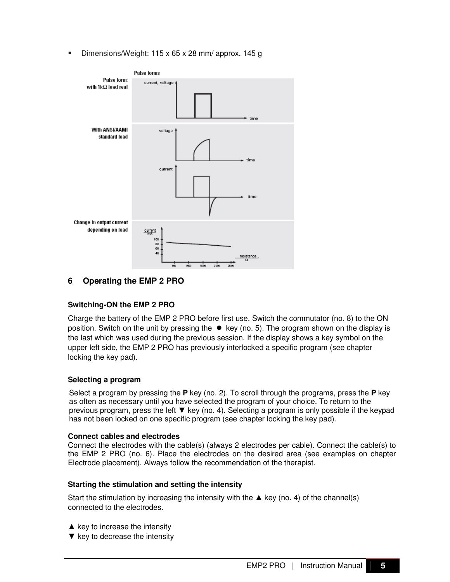Dimensions/Weight: 115 x 65 x 28 mm/ approx. 145 g



**6 Operating the EMP 2 PRO** 

#### **Switching-ON the EMP 2 PRO**

Charge the battery of the EMP 2 PRO before first use. Switch the commutator (no. 8) to the ON position. Switch on the unit by pressing the  $\bullet$  key (no. 5). The program shown on the display is the last which was used during the previous session. If the display shows a key symbol on the upper left side, the EMP 2 PRO has previously interlocked a specific program (see chapter locking the key pad).

#### **Selecting a program**

Select a program by pressing the **P** key (no. 2). To scroll through the programs, press the **P** key as often as necessary until you have selected the program of your choice. To return to the previous program, press the left ▼ key (no. 4). Selecting a program is only possible if the keypad has not been locked on one specific program (see chapter locking the key pad).

#### **Connect cables and electrodes**

Connect the electrodes with the cable(s) (always 2 electrodes per cable). Connect the cable(s) to the EMP 2 PRO (no. 6). Place the electrodes on the desired area (see examples on chapter Electrode placement). Always follow the recommendation of the therapist.

#### **Starting the stimulation and setting the intensity**

Start the stimulation by increasing the intensity with the  $\triangle$  key (no. 4) of the channel(s) connected to the electrodes.

- $\triangle$  key to increase the intensity
- $\blacktriangledown$  key to decrease the intensity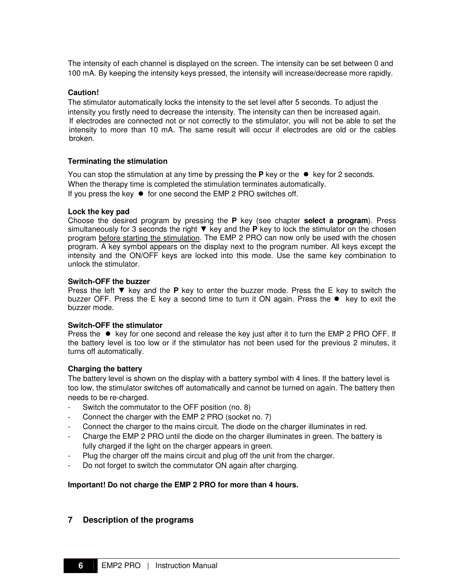The intensity of each channel is displayed on the screen. The intensity can be set between 0 and 100 mA. By keeping the intensity keys pressed, the intensity will increase/decrease more rapidly.

#### **Caution!**

The stimulator automatically locks the intensity to the set level after 5 seconds. To adjust the intensity you firstly need to decrease the intensity. The intensity can then be increased again. If electrodes are connected not or not correctly to the stimulator, you will not be able to set the intensity to more than 10 mA. The same result will occur if electrodes are old or the cables broken.

#### **Terminating the stimulation**

You can stop the stimulation at any time by pressing the **P** key or the  $\bullet$  key for 2 seconds. When the therapy time is completed the stimulation terminates automatically. If you press the key  $\bullet$  for one second the EMP 2 PRO switches off.

#### **Lock the key pad**

Choose the desired program by pressing the **P** key (see chapter **select a program**). Press simultaneously for 3 seconds the right ▼ key and the **P** key to lock the stimulator on the chosen program before starting the stimulation. The EMP 2 PRO can now only be used with the chosen program. A key symbol appears on the display next to the program number. All keys except the intensity and the ON/OFF keys are locked into this mode. Use the same key combination to unlock the stimulator.

#### **Switch-OFF the buzzer**

Press the left ▼ key and the **P** key to enter the buzzer mode. Press the E key to switch the buzzer OFF. Press the E key a second time to turn it ON again. Press the  $\bullet$  key to exit the buzzer mode.

#### **Switch-OFF the stimulator**

Press the  $\bullet$  key for one second and release the key just after it to turn the EMP 2 PRO OFF. If the battery level is too low or if the stimulator has not been used for the previous 2 minutes, it turns off automatically.

#### **Charging the battery**

The battery level is shown on the display with a battery symbol with 4 lines. If the battery level is too low, the stimulator switches off automatically and cannot be turned on again. The battery then needs to be re-charged.

- Switch the commutator to the OFF position (no. 8)
- Connect the charger with the EMP 2 PRO (socket no. 7)
- Connect the charger to the mains circuit. The diode on the charger illuminates in red.
- Charge the EMP 2 PRO until the diode on the charger illuminates in green. The battery is fully charged if the light on the charger appears in green.
- Plug the charger off the mains circuit and plug off the unit from the charger.
- Do not forget to switch the commutator ON again after charging.

#### **Important! Do not charge the EMP 2 PRO for more than 4 hours.**

#### **7 Description of the programs**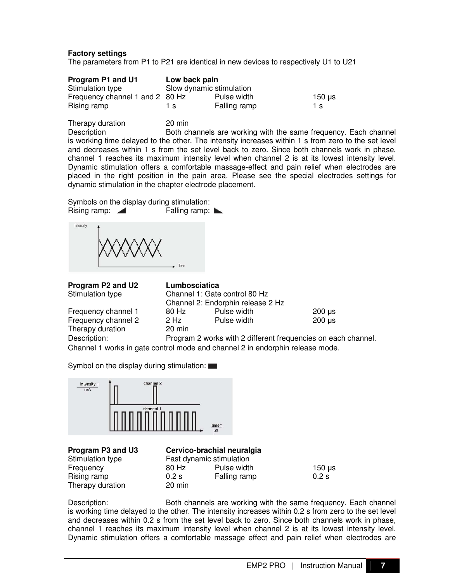#### **Factory settings**

The parameters from P1 to P21 are identical in new devices to respectively U1 to U21

| Program P1 and U1               | Low back pain            |              |        |
|---------------------------------|--------------------------|--------------|--------|
| Stimulation type                | Slow dynamic stimulation |              |        |
| Frequency channel 1 and 2 80 Hz |                          | Pulse width  | 150 us |
| Rising ramp                     | 1 s                      | Falling ramp | 1 s    |

Therapy duration 20 min Description **Both channels are working with the same frequency.** Each channel is working time delayed to the other. The intensity increases within 1 s from zero to the set level and decreases within 1 s from the set level back to zero. Since both channels work in phase, channel 1 reaches its maximum intensity level when channel 2 is at its lowest intensity level. Dynamic stimulation offers a comfortable massage-effect and pain relief when electrodes are placed in the right position in the pain area. Please see the special electrodes settings for dynamic stimulation in the chapter electrode placement.

Symbols on the display during stimulation:<br>Rising ramp: <br>Rising ramp: Rising ramp:  $\blacksquare$ 

Intensity Time

**Program P2 and U2 Lumbosciatica**  Stimulation type

Frequency channel 1

Frequency channel 2

Therapy duration

|                  | Channel 1: Gate control 80 Hz     |             |
|------------------|-----------------------------------|-------------|
|                  | Channel 2: Endorphin release 2 Hz |             |
| 80 Hz            | Pulse width                       | $200 \mu s$ |
| $2$ Hz           | Pulse width                       | $200 \mu s$ |
| $20 \text{ min}$ |                                   |             |
|                  |                                   |             |

Description: Program 2 works with 2 different frequencies on each channel. Channel 1 works in gate control mode and channel 2 in endorphin release mode.

Symbol on the display during stimulation:



| Program P3 and U3 |  |
|-------------------|--|
| Stimulation type  |  |
| Frequency         |  |
| Rising ramp       |  |
| Therapy duration  |  |
|                   |  |

#### **Cervico-brachial neuralgia** Fast dynamic stimulation

80 Hz Pulse width 0.2 s Falling ramp 0.2 s  $20$  min

 $150$   $\mu$ s

Description: Both channels are working with the same frequency. Each channel is working time delayed to the other. The intensity increases within 0.2 s from zero to the set level and decreases within 0.2 s from the set level back to zero. Since both channels work in phase, channel 1 reaches its maximum intensity level when channel 2 is at its lowest intensity level. Dynamic stimulation offers a comfortable massage effect and pain relief when electrodes are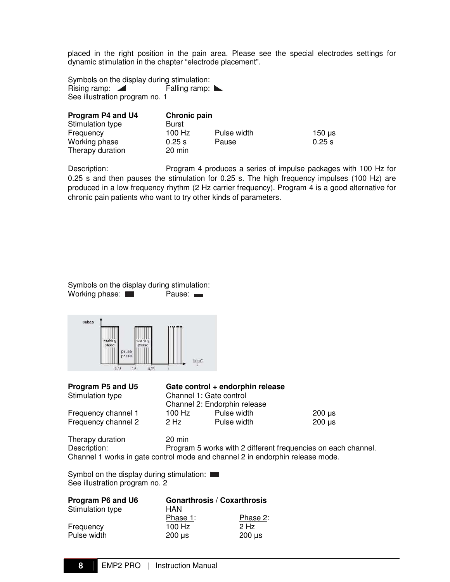placed in the right position in the pain area. Please see the special electrodes settings for dynamic stimulation in the chapter "electrode placement".

Symbols on the display during stimulation: Rising ramp:  $\blacksquare$  Falling ramp:  $\blacksquare$ See illustration program no. 1

| Program P4 and U4 | <b>Chronic pain</b> |             |             |
|-------------------|---------------------|-------------|-------------|
| Stimulation type  | Burst               |             |             |
| Frequency         | 100 Hz              | Pulse width | $150 \mu s$ |
| Working phase     | 0.25 s              | Pause       | 0.25 s      |
| Therapy duration  | $20 \text{ min}$    |             |             |

Description: Program 4 produces a series of impulse packages with 100 Hz for 0.25 s and then pauses the stimulation for 0.25 s. The high frequency impulses (100 Hz) are produced in a low frequency rhythm (2 Hz carrier frequency). Program 4 is a good alternative for chronic pain patients who want to try other kinds of parameters.

Symbols on the display during stimulation: Working phase: **Pause:** Pause:



| Program P5 and U5   |          | Gate control + endorph  |
|---------------------|----------|-------------------------|
| Stimulation type    |          | Channel 1: Gate control |
|                     |          | Channel 2: Endorphin re |
| Frequency channel 1 | $100$ Hz | Pulse widt              |

#### **Program P5 and U5 Gate control + endorphin release**

| Stimulation type    |        | Channel 1: Gate control      |        |
|---------------------|--------|------------------------------|--------|
|                     |        | Channel 2: Endorphin release |        |
| Frequency channel 1 | 100 Hz | Pulse width                  | 200 us |
| Frequency channel 2 | 2 Hz   | Pulse width                  | 200 us |

Therapy duration 20 min<br>Description: Program Program 5 works with 2 different frequencies on each channel. Channel 1 works in gate control mode and channel 2 in endorphin release mode.

Symbol on the display during stimulation: See illustration program no. 2

| Program P6 and U6 | <b>Gonarthrosis / Coxarthrosis</b> |             |
|-------------------|------------------------------------|-------------|
| Stimulation type  | HAN                                |             |
|                   | Phase 1:                           | Phase 2:    |
| Frequency         | $100$ Hz                           | $2$ Hz      |
| Pulse width       | $200 \mu s$                        | $200 \mu s$ |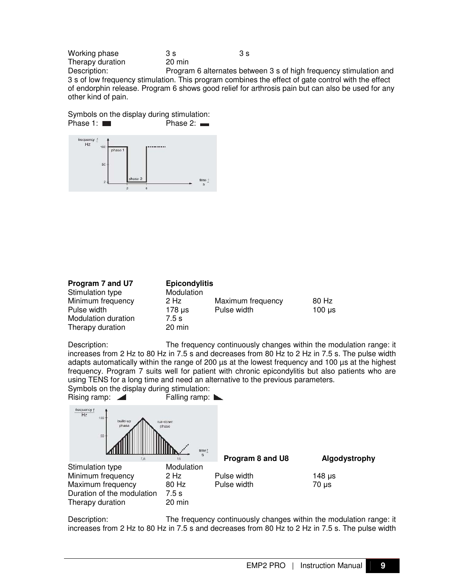Working phase  $3 \text{ s}$  3 s 3 s 3 s Therapy duration<br>Description: Program 6 alternates between 3 s of high frequency stimulation and 3 s of low frequency stimulation. This program combines the effect of gate control with the effect of endorphin release. Program 6 shows good relief for arthrosis pain but can also be used for any other kind of pain.

Symbols on the display during stimulation:<br>Phase 1:  $\blacksquare$  Phase 2:  $\blacksquare$ Phase 1:



| Program 7 and U7    | <b>Epicondylitis</b> |                   |             |
|---------------------|----------------------|-------------------|-------------|
| Stimulation type    | Modulation           |                   |             |
| Minimum frequency   | 2 Hz                 | Maximum frequency | 80 Hz       |
| Pulse width         | 178 µs               | Pulse width       | $100 \mu s$ |
| Modulation duration | 7.5 s                |                   |             |
| Therapy duration    | 20 min               |                   |             |

Description: The frequency continuously changes within the modulation range: it increases from 2 Hz to 80 Hz in 7.5 s and decreases from 80 Hz to 2 Hz in 7.5 s. The pulse width adapts automatically within the range of 200 µs at the lowest frequency and 100 µs at the highest frequency. Program 7 suits well for patient with chronic epicondylitis but also patients who are using TENS for a long time and need an alternative to the previous parameters.

Symbols on the display during stimulation: Rising ramp:  $\blacksquare$  Falling ramp:  $\blacksquare$ 



Description: The frequency continuously changes within the modulation range: it increases from 2 Hz to 80 Hz in 7.5 s and decreases from 80 Hz to 2 Hz in 7.5 s. The pulse width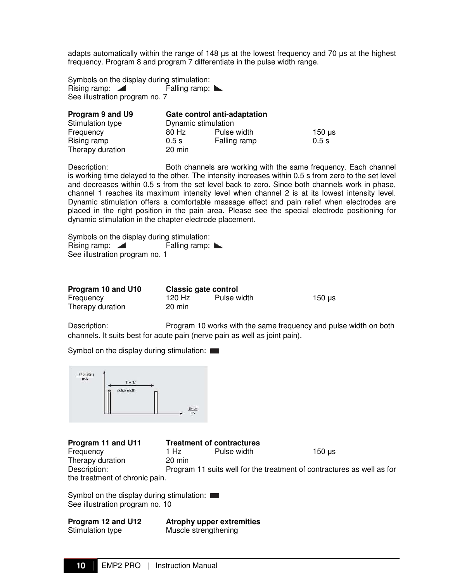adapts automatically within the range of 148 µs at the lowest frequency and 70 µs at the highest frequency. Program 8 and program 7 differentiate in the pulse width range.

Symbols on the display during stimulation:<br>Rising ramp: <br>Rising ramp: Rising ramp:  $\blacksquare$ See illustration program no. 7

| Program 9 and U9 |                     | Gate control anti-adaptation |             |
|------------------|---------------------|------------------------------|-------------|
| Stimulation type | Dynamic stimulation |                              |             |
| Frequency        | 80 Hz               | Pulse width                  | $150 \mu s$ |
| Rising ramp      | 0.5s                | Falling ramp                 | 0.5s        |
| Therapy duration | 20 min              |                              |             |

Description: Both channels are working with the same frequency. Each channel is working time delayed to the other. The intensity increases within 0.5 s from zero to the set level and decreases within 0.5 s from the set level back to zero. Since both channels work in phase, channel 1 reaches its maximum intensity level when channel 2 is at its lowest intensity level. Dynamic stimulation offers a comfortable massage effect and pain relief when electrodes are placed in the right position in the pain area. Please see the special electrode positioning for dynamic stimulation in the chapter electrode placement.

Symbols on the display during stimulation: Rising ramp: Falling ramp: No. See illustration program no. 1

| Program 10 and U10 | <b>Classic gate control</b> |             |             |
|--------------------|-----------------------------|-------------|-------------|
| Frequency          | 120 Hz                      | Pulse width | $150 \mu s$ |
| Therapy duration   | 20 min                      |             |             |

Description: Program 10 works with the same frequency and pulse width on both channels. It suits best for acute pain (nerve pain as well as joint pain).

Symbol on the display during stimulation:

| intensity  <br>$\overline{\mathsf{m}\mathsf{A}}$<br>Website | $T = 1/5$   |                             |
|-------------------------------------------------------------|-------------|-----------------------------|
|                                                             | pulse width |                             |
|                                                             |             | $\frac{\text{time}}{\mu s}$ |

| Program 11 and U11             |                  | <b>Treatment of contractures</b> |                                                                        |
|--------------------------------|------------------|----------------------------------|------------------------------------------------------------------------|
| Frequency                      | 1 Hz             | Pulse width                      | 150 us                                                                 |
| Therapy duration               | $20 \text{ min}$ |                                  |                                                                        |
| Description:                   |                  |                                  | Program 11 suits well for the treatment of contractures as well as for |
| the treatment of chronic pain. |                  |                                  |                                                                        |

Symbol on the display during stimulation: See illustration program no. 10

**Program 12 and U12 Atrophy upper extremities**  Stimulation type Muscle strengthening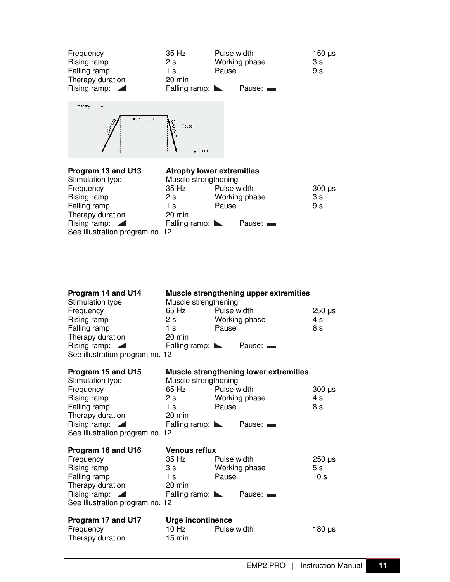| Frequency                         | 35 Hz                               | Pulse width |                 | $150 \mu s$    |
|-----------------------------------|-------------------------------------|-------------|-----------------|----------------|
| Rising ramp                       | 2 s                                 |             | Working phase   | 3 s            |
| Falling ramp                      | 1 s                                 | Pause       |                 | 9 <sub>s</sub> |
| Therapy duration                  | $20 \text{ min}$                    |             |                 |                |
| Rising ramp: $\blacktriangleleft$ | Falling ramp: $\blacktriangleright$ |             | Pause: <b>1</b> |                |



# **Program 13 and U13**<br>Stimulation type

### **Atrophy lower extremities**

| Stimulation type                  | Muscle strengthening                |               |             |
|-----------------------------------|-------------------------------------|---------------|-------------|
| Frequency                         | 35 Hz                               | Pulse width   | $300 \mu s$ |
| Rising ramp                       | 2s                                  | Working phase | 3 s         |
| Falling ramp                      | 1 s                                 | Pause         | 9 s         |
| Therapy duration                  | 20 min                              |               |             |
| Rising ramp: $\blacktriangleleft$ | Falling ramp: $\blacktriangleright$ | Pause: —      |             |
| See illustration program no. 12   |                                     |               |             |
|                                   |                                     |               |             |

| Program 14 and U14<br>Stimulation type<br>Frequency<br>Rising ramp<br>Falling ramp<br>Therapy duration<br>Rising ramp: $\blacksquare$<br>See illustration program no. 12 | Muscle strengthening<br>65 Hz Pulse width<br>2s<br>1s<br>20 min         | Muscle strengthening upper extremities<br>Working phase<br>Pause<br>Falling ramp: New Pause: | $250 \,\mathrm{\mu s}$<br>4 s<br>8 s             |
|--------------------------------------------------------------------------------------------------------------------------------------------------------------------------|-------------------------------------------------------------------------|----------------------------------------------------------------------------------------------|--------------------------------------------------|
| Program 15 and U15<br>Stimulation type                                                                                                                                   | Muscle strengthening                                                    | <b>Muscle strengthening lower extremities</b>                                                |                                                  |
| Frequency<br>Rising ramp<br>Falling ramp<br>Therapy duration<br>Rising ramp:<br>See illustration program no. 12                                                          | 65 Hz<br>1s<br>20 min                                                   | Pulse width<br>2 s Working phase<br>Pause<br>Falling ramp: New Pause:                        | $300 \mu s$<br>4 s<br>8 s                        |
| Program 16 and U16                                                                                                                                                       | <b>Venous reflux</b>                                                    |                                                                                              |                                                  |
| Frequency<br>Rising ramp<br>Falling ramp<br>Therapy duration<br>Rising ramp: 4<br>See illustration program no. 12                                                        | 35 Hz<br>$1s$ and $1s$<br>20 min<br>Falling ramp: $\blacktriangleright$ | Pulse width<br>3 s Working phase<br>Pause<br>Pause: <b>manufact</b>                          | $250 \mu s$<br>5 <sub>s</sub><br>10 <sub>s</sub> |
| Program 17 and U17<br>Frequency<br>Therapy duration                                                                                                                      | <b>Urge incontinence</b><br>$10$ Hz<br>$15 \text{ min}$                 | Pulse width                                                                                  | 180 $\mu$ s                                      |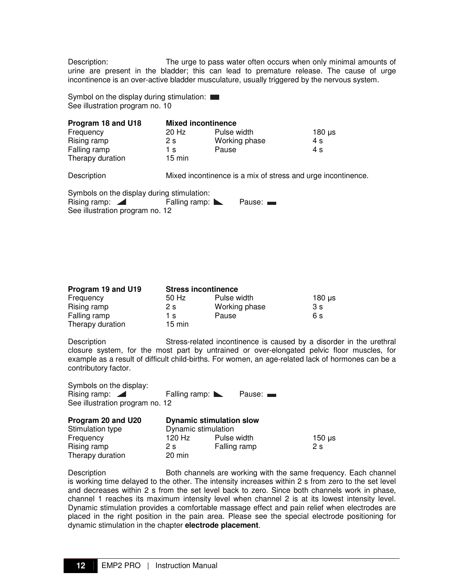Description: The urge to pass water often occurs when only minimal amounts of urine are present in the bladder; this can lead to premature release. The cause of urge incontinence is an over-active bladder musculature, usually triggered by the nervous system.

Symbol on the display during stimulation: See illustration program no. 10

| Program 18 and U18                         | <b>Mixed incontinence</b> |               |                                                              |             |
|--------------------------------------------|---------------------------|---------------|--------------------------------------------------------------|-------------|
| Frequency                                  | 20 Hz                     | Pulse width   |                                                              | $180 \mu s$ |
| Rising ramp                                | 2s                        | Working phase |                                                              | 4 s         |
| Falling ramp                               | 1 s                       | Pause         |                                                              | 4 s         |
| Therapy duration                           | $15 \text{ min}$          |               |                                                              |             |
| Description                                |                           |               | Mixed incontinence is a mix of stress and urge incontinence. |             |
| Symbols on the display during stimulation: |                           |               |                                                              |             |
| Rising ramp:                               | Falling ramp:             |               | Pause:                                                       |             |
| See illustration program no. 12            |                           |               |                                                              |             |

| Program 19 and U19 | <b>Stress incontinence</b> |               |             |
|--------------------|----------------------------|---------------|-------------|
| Frequency          | 50 Hz                      | Pulse width   | $180 \mu s$ |
| Rising ramp        | 2 s                        | Working phase | 3s          |
| Falling ramp       | 1 s                        | Pause         | 6 s         |
| Therapy duration   | $15 \text{ min}$           |               |             |

Description Stress-related incontinence is caused by a disorder in the urethral closure system, for the most part by untrained or over-elongated pelvic floor muscles, for example as a result of difficult child-births. For women, an age-related lack of hormones can be a contributory factor.

| Symbols on the display:         |                                     |                 |
|---------------------------------|-------------------------------------|-----------------|
| Rising ramp: $\blacksquare$     | Falling ramp: $\blacktriangleright$ | Pause: <b>1</b> |
| See illustration program no. 12 |                                     |                 |

| Program 20 and U20 | <b>Dynamic stimulation slow</b> |              |             |
|--------------------|---------------------------------|--------------|-------------|
| Stimulation type   | Dynamic stimulation             |              |             |
| Frequency          | 120 Hz                          | Pulse width  | $150 \mu s$ |
| Rising ramp        | 2 s                             | Falling ramp | 2s          |
| Therapy duration   | 20 min                          |              |             |

Description **Both channels are working with the same frequency. Each channel** is working time delayed to the other. The intensity increases within 2 s from zero to the set level and decreases within 2 s from the set level back to zero. Since both channels work in phase, channel 1 reaches its maximum intensity level when channel 2 is at its lowest intensity level. Dynamic stimulation provides a comfortable massage effect and pain relief when electrodes are placed in the right position in the pain area. Please see the special electrode positioning for dynamic stimulation in the chapter **electrode placement**.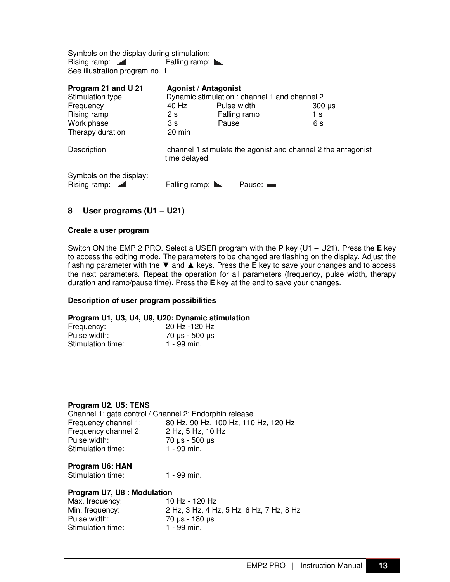Symbols on the display during stimulation: Rising ramp: Falling ramp: See illustration program no. 1

| Program 21 and U 21                                    | <b>Agonist / Antagonist</b>         |              |                                              |                                                              |  |
|--------------------------------------------------------|-------------------------------------|--------------|----------------------------------------------|--------------------------------------------------------------|--|
| Stimulation type                                       |                                     |              | Dynamic stimulation; channel 1 and channel 2 |                                                              |  |
| Frequency                                              | 40 Hz                               | Pulse width  |                                              | $300 \mu s$                                                  |  |
| Rising ramp                                            | 2s                                  | Falling ramp |                                              | 1 s                                                          |  |
| Work phase                                             | 3 s                                 | Pause        |                                              | 6 s                                                          |  |
| Therapy duration                                       | 20 min                              |              |                                              |                                                              |  |
| Description                                            | time delayed                        |              |                                              | channel 1 stimulate the agonist and channel 2 the antagonist |  |
| Symbols on the display:<br>Rising ramp: $\blacksquare$ | Falling ramp: $\blacktriangleright$ |              | Pause: —                                     |                                                              |  |

#### **8 User programs (U1 – U21)**

#### **Create a user program**

Switch ON the EMP 2 PRO. Select a USER program with the **P** key (U1 – U21). Press the **E** key to access the editing mode. The parameters to be changed are flashing on the display. Adjust the flashing parameter with the ▼ and ▲ keys. Press the **E** key to save your changes and to access the next parameters. Repeat the operation for all parameters (frequency, pulse width, therapy duration and ramp/pause time). Press the **E** key at the end to save your changes.

#### **Description of user program possibilities**

#### **Program U1, U3, U4, U9, U20: Dynamic stimulation**

| Frequency:        | 20 Hz -120 Hz          |
|-------------------|------------------------|
| Pulse width:      | $70 \mu s - 500 \mu s$ |
| Stimulation time: | 1 - 99 min.            |

#### **Program U2, U5: TENS**

| Channel 1: gate control / Channel 2: Endorphin release |                                      |
|--------------------------------------------------------|--------------------------------------|
| Frequency channel 1:                                   | 80 Hz, 90 Hz, 100 Hz, 110 Hz, 120 Hz |
| Frequency channel 2:                                   | 2 Hz, 5 Hz, 10 Hz                    |
| Pulse width:                                           | 70 µs - 500 µs                       |
| Stimulation time:                                      | 1 - 99 min.                          |

#### **Program U6: HAN**

Stimulation time: 1 - 99 min.

#### **Program U7, U8 : Modulation**

| Max. frequency:   | 10 Hz - 120 Hz                           |
|-------------------|------------------------------------------|
| Min. frequency:   | 2 Hz, 3 Hz, 4 Hz, 5 Hz, 6 Hz, 7 Hz, 8 Hz |
| Pulse width:      | 70 µs - 180 µs                           |
| Stimulation time: | 1 - 99 min.                              |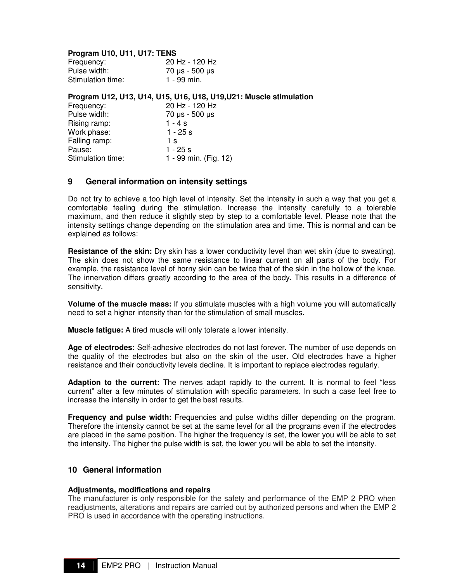#### **Program U10, U11, U17: TENS**

| Frequency:        | 20 Hz - 120 Hz |
|-------------------|----------------|
| Pulse width:      | 70 µs - 500 µs |
| Stimulation time: | 1 - 99 min.    |

#### **Program U12, U13, U14, U15, U16, U18, U19,U21: Muscle stimulation**

| 20 Hz - 120 Hz        |
|-----------------------|
| 70 µs - 500 µs        |
| $1 - 4s$              |
| $1 - 25s$             |
| 1 s                   |
| 1 - 25 s              |
| 1 - 99 min. (Fig. 12) |
|                       |

#### **9 General information on intensity settings**

Do not try to achieve a too high level of intensity. Set the intensity in such a way that you get a comfortable feeling during the stimulation. Increase the intensity carefully to a tolerable maximum, and then reduce it slightly step by step to a comfortable level. Please note that the intensity settings change depending on the stimulation area and time. This is normal and can be explained as follows:

**Resistance of the skin:** Dry skin has a lower conductivity level than wet skin (due to sweating). The skin does not show the same resistance to linear current on all parts of the body. For example, the resistance level of horny skin can be twice that of the skin in the hollow of the knee. The innervation differs greatly according to the area of the body. This results in a difference of sensitivity.

**Volume of the muscle mass:** If you stimulate muscles with a high volume you will automatically need to set a higher intensity than for the stimulation of small muscles.

**Muscle fatigue:** A tired muscle will only tolerate a lower intensity.

**Age of electrodes:** Self-adhesive electrodes do not last forever. The number of use depends on the quality of the electrodes but also on the skin of the user. Old electrodes have a higher resistance and their conductivity levels decline. It is important to replace electrodes regularly.

**Adaption to the current:** The nerves adapt rapidly to the current. It is normal to feel "less current" after a few minutes of stimulation with specific parameters. In such a case feel free to increase the intensity in order to get the best results.

**Frequency and pulse width:** Frequencies and pulse widths differ depending on the program. Therefore the intensity cannot be set at the same level for all the programs even if the electrodes are placed in the same position. The higher the frequency is set, the lower you will be able to set the intensity. The higher the pulse width is set, the lower you will be able to set the intensity.

#### **10 General information**

#### **Adjustments, modifications and repairs**

The manufacturer is only responsible for the safety and performance of the EMP 2 PRO when readjustments, alterations and repairs are carried out by authorized persons and when the EMP 2 PRO is used in accordance with the operating instructions.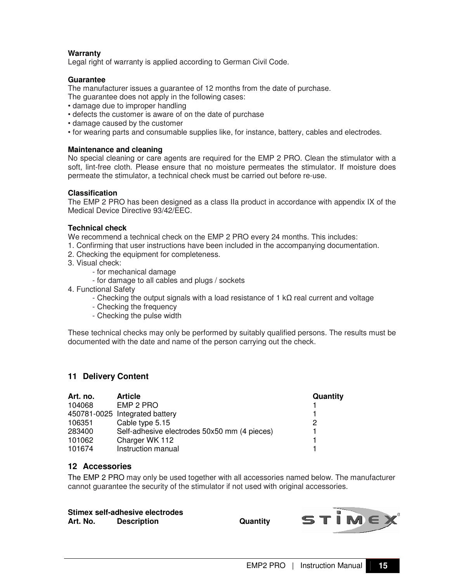#### **Warranty**

Legal right of warranty is applied according to German Civil Code.

#### **Guarantee**

The manufacturer issues a guarantee of 12 months from the date of purchase.

The guarantee does not apply in the following cases:

- damage due to improper handling
- defects the customer is aware of on the date of purchase
- damage caused by the customer
- for wearing parts and consumable supplies like, for instance, battery, cables and electrodes.

#### **Maintenance and cleaning**

No special cleaning or care agents are required for the EMP 2 PRO. Clean the stimulator with a soft, lint-free cloth. Please ensure that no moisture permeates the stimulator. If moisture does permeate the stimulator, a technical check must be carried out before re-use.

#### **Classification**

The EMP 2 PRO has been designed as a class IIa product in accordance with appendix IX of the Medical Device Directive 93/42/EEC.

#### **Technical check**

We recommend a technical check on the EMP 2 PRO every 24 months. This includes:

- 1. Confirming that user instructions have been included in the accompanying documentation.
- 2. Checking the equipment for completeness.
- 3. Visual check:
	- for mechanical damage
	- for damage to all cables and plugs / sockets
- 4. Functional Safety
	- Checking the output signals with a load resistance of 1  $k\Omega$  real current and voltage
	- Checking the frequency
	- Checking the pulse width

These technical checks may only be performed by suitably qualified persons. The results must be documented with the date and name of the person carrying out the check.

#### **11 Delivery Content**

| Art. no. | <b>Article</b>                               | Quantity |
|----------|----------------------------------------------|----------|
| 104068   | EMP 2 PRO                                    |          |
|          | 450781-0025 Integrated battery               |          |
| 106351   | Cable type 5.15                              | 2        |
| 283400   | Self-adhesive electrodes 50x50 mm (4 pieces) |          |
| 101062   | Charger WK 112                               |          |
| 101674   | Instruction manual                           |          |

#### **12 Accessories**

The EMP 2 PRO may only be used together with all accessories named below. The manufacturer cannot guarantee the security of the stimulator if not used with original accessories.

|          | Stimex self-adhesive electrodes |  |
|----------|---------------------------------|--|
| Art. No. | <b>Description</b>              |  |

**Quantity** 

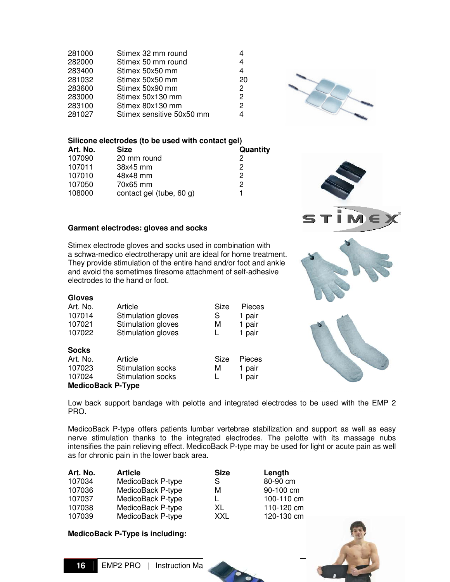| 281000 | Stimex 32 mm round        |                |
|--------|---------------------------|----------------|
| 282000 | Stimex 50 mm round        | 4              |
| 283400 | Stimex 50x50 mm           | 4              |
| 281032 | Stimex 50x50 mm           | 20             |
| 283600 | Stimex 50x90 mm           | $\overline{2}$ |
| 283000 | Stimex 50x130 mm          | $\mathcal{P}$  |
| 283100 | Stimex 80x130 mm          | $\mathcal{P}$  |
| 281027 | Stimex sensitive 50x50 mm | 4              |
|        |                           |                |

#### **Silicone electrodes (to be used with contact gel)**

| Art. No. | <b>Size</b>              | Quantity |
|----------|--------------------------|----------|
| 107090   | 20 mm round              | 2        |
| 107011   | 38x45 mm                 | 2        |
| 107010   | 48x48 mm                 | 2        |
| 107050   | 70x65 mm                 | 2        |
| 108000   | contact gel (tube, 60 g) |          |

#### **Garment electrodes: gloves and socks**

Stimex electrode gloves and socks used in combination with a schwa-medico electrotherapy unit are ideal for home treatment. They provide stimulation of the entire hand and/or foot and ankle and avoid the sometimes tiresome attachment of self-adhesive electrodes to the hand or foot.

#### **Gloves**

| Art. No.<br>Article<br>107014<br>Stimulation gloves<br>Stimulation gloves<br>107021<br>Stimulation gloves<br>107022 |                                                                 | Size<br>S<br>М<br>L | Pieces<br>1 pair<br>1 pair<br>1 pair |
|---------------------------------------------------------------------------------------------------------------------|-----------------------------------------------------------------|---------------------|--------------------------------------|
| <b>Socks</b><br>Art. No.<br>107023<br>107024<br><b>MedicoBack P-Type</b>                                            | Article<br><b>Stimulation socks</b><br><b>Stimulation socks</b> | Size<br>м<br>L      | Pieces<br>1 pair<br>1 pair           |





Low back support bandage with pelotte and integrated electrodes to be used with the EMP 2 PRO.

MedicoBack P-type offers patients lumbar vertebrae stabilization and support as well as easy nerve stimulation thanks to the integrated electrodes. The pelotte with its massage nubs intensifies the pain relieving effect. MedicoBack P-type may be used for light or acute pain as well as for chronic pain in the lower back area.

| Art. No. | <b>Article</b>    | <b>Size</b> | Length     |
|----------|-------------------|-------------|------------|
| 107034   | MedicoBack P-type | S           | 80-90 cm   |
| 107036   | MedicoBack P-type | м           | 90-100 cm  |
| 107037   | MedicoBack P-type |             | 100-110 cm |
| 107038   | MedicoBack P-type | XL          | 110-120 cm |
| 107039   | MedicoBack P-type | XXL         | 120-130 cm |

#### **MedicoBack P-Type is including:**

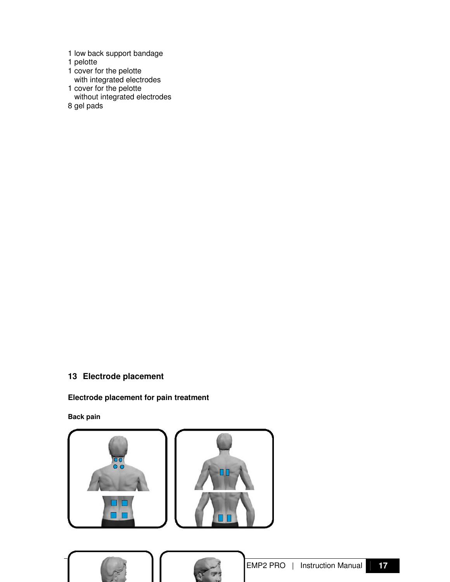- 1 low back support bandage
- 1 pelotte
- 1 cover for the pelotte
- with integrated electrodes 1 cover for the pelotte
- without integrated electrodes
- 8 gel pads

#### **13 Electrode placement**

#### **Electrode placement for pain treatment**

#### **Back pain**

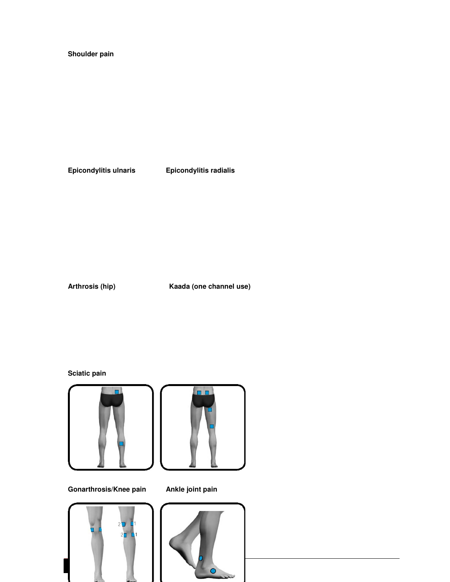#### **Shoulder pain**

**Epicondylitis ulnaris Epicondylitis radialis** 

**Arthrosis (hip) Kaada (one channel use)** 

**Sciatic pain** 



**Gonarthrosis/Knee pain Ankle joint pain** 





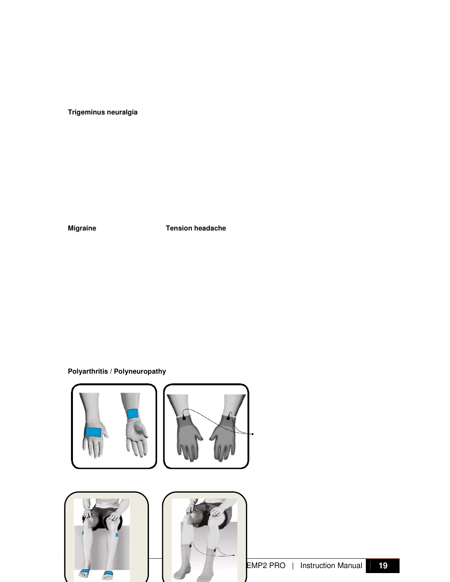**Trigeminus neuralgia** 

**Migraine Tension headache** 

**Polyarthritis / Polyneuropathy** 





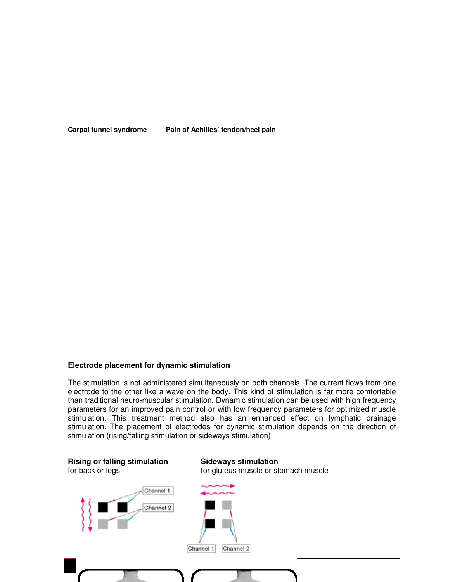Carpal tunnel syndrome Pain of Achilles' tendon/heel pain

#### **Electrode placement for dynamic stimulation**

The stimulation is not administered simultaneously on both channels. The current flows from one electrode to the other like a wave on the body. This kind of stimulation is far more comfortable than traditional neuro-muscular stimulation. Dynamic stimulation can be used with high frequency parameters for an improved pain control or with low frequency parameters for optimized muscle stimulation. This treatment method also has an enhanced effect on lymphatic drainage stimulation. The placement of electrodes for dynamic stimulation depends on the direction of stimulation (rising/falling stimulation or sideways stimulation)

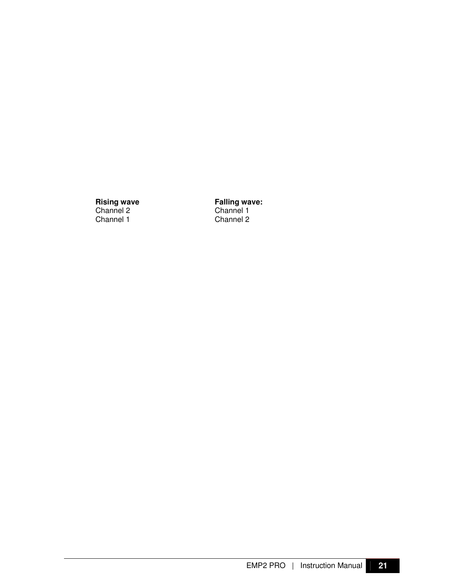Rising wave Falling wa<br>
Channel 2 Channel 1<br>
Channel 1 Channel 2 Channel 1

**Falling wave:**<br>Channel 1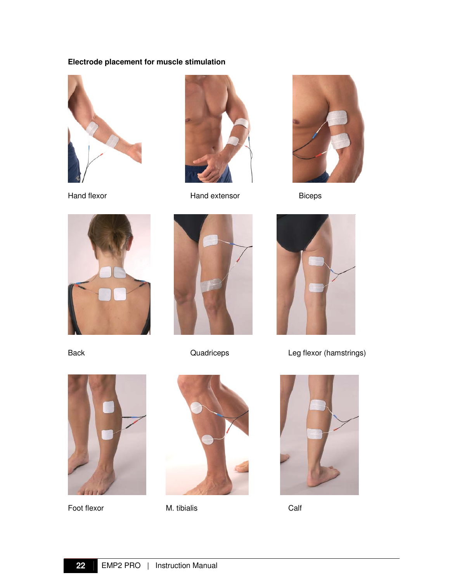#### **Electrode placement for muscle stimulation**





Hand flexor **Hand extensor** Biceps









Back **Back** Quadriceps **Leg flexor (hamstrings)** 



Foot flexor M. tibialis Calf



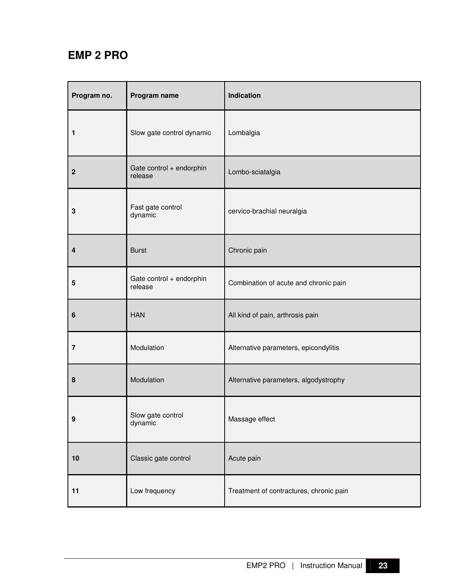### **EMP 2 PRO**

| Program no.    | Program name                        | Indication                              |
|----------------|-------------------------------------|-----------------------------------------|
| 1              | Slow gate control dynamic           | Lombalgia                               |
| $\overline{2}$ | Gate control + endorphin<br>release | Lombo-sciatalgia                        |
| 3              | Fast gate control<br>dynamic        | cervico-brachial neuralgia              |
| 4              | <b>Burst</b>                        | Chronic pain                            |
| 5              | Gate control + endorphin<br>release | Combination of acute and chronic pain   |
| 6              | <b>HAN</b>                          | All kind of pain, arthrosis pain        |
| $\overline{7}$ | Modulation                          | Alternative parameters, epicondylitis   |
| 8              | Modulation                          | Alternative parameters, algodystrophy   |
| 9              | Slow gate control<br>dynamic        | Massage effect                          |
| 10             | Classic gate control                | Acute pain                              |
| 11             | Low frequency                       | Treatment of contractures, chronic pain |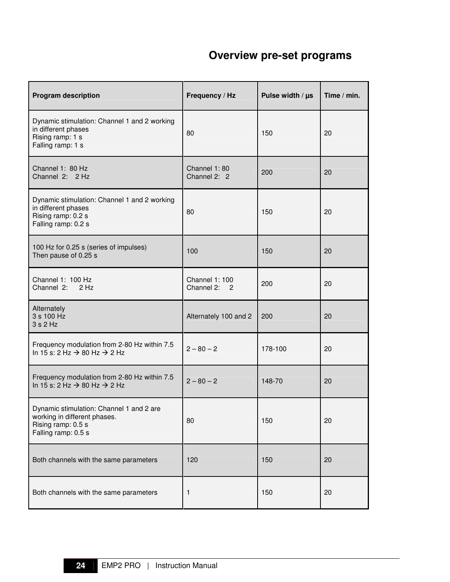## **Overview pre-set programs**

| <b>Program description</b>                                                                                            | Frequency / Hz                           | Pulse width $/ \mu s$ | Time / min. |
|-----------------------------------------------------------------------------------------------------------------------|------------------------------------------|-----------------------|-------------|
| Dynamic stimulation: Channel 1 and 2 working<br>in different phases<br>Rising ramp: 1 s<br>Falling ramp: 1 s          | 80                                       | 150                   | 20          |
| Channel 1: 80 Hz<br>Channel 2: 2 Hz                                                                                   | Channel 1:80<br>Channel 2: 2             | 200                   | 20          |
| Dynamic stimulation: Channel 1 and 2 working<br>in different phases<br>Rising ramp: 0.2 s<br>Falling ramp: 0.2 s      | 80                                       | 150                   | 20          |
| 100 Hz for 0.25 s (series of impulses)<br>Then pause of 0.25 s                                                        | 100                                      | 150                   | 20          |
| Channel 1: 100 Hz<br>Channel 2:<br>$2$ Hz                                                                             | <b>Channel 1: 100</b><br>Channel 2:<br>2 | 200                   | 20          |
| Alternately<br>3 s 100 Hz<br>3 s 2 Hz                                                                                 | Alternately 100 and 2                    | 200                   | 20          |
| Frequency modulation from 2-80 Hz within 7.5<br>In 15 s: 2 Hz $\rightarrow$ 80 Hz $\rightarrow$ 2 Hz                  | $2 - 80 - 2$                             | 178-100               | 20          |
| Frequency modulation from 2-80 Hz within 7.5<br>In 15 s: 2 Hz $\rightarrow$ 80 Hz $\rightarrow$ 2 Hz                  | $2 - 80 - 2$                             | 148-70                | 20          |
| Dynamic stimulation: Channel 1 and 2 are<br>working in different phases.<br>Rising ramp: 0.5 s<br>Falling ramp: 0.5 s | 80                                       | 150                   | 20          |
| Both channels with the same parameters                                                                                | 120                                      | 150                   | 20          |
| Both channels with the same parameters                                                                                | 1                                        | 150                   | 20          |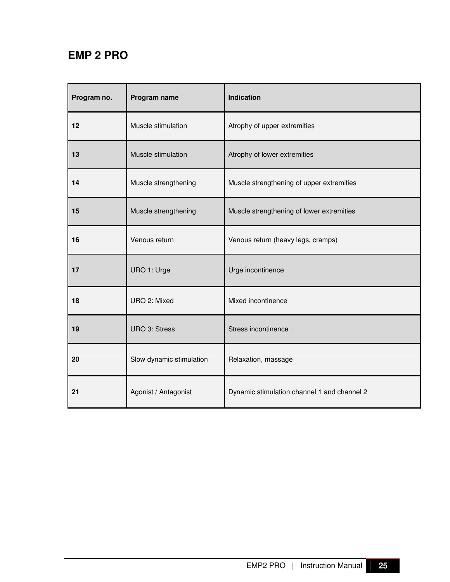### **EMP 2 PRO**

| Program no. | Program name             | Indication                                  |
|-------------|--------------------------|---------------------------------------------|
| 12          | Muscle stimulation       | Atrophy of upper extremities                |
| 13          | Muscle stimulation       | Atrophy of lower extremities                |
| 14          | Muscle strengthening     | Muscle strengthening of upper extremities   |
| 15          | Muscle strengthening     | Muscle strengthening of lower extremities   |
| 16          | Venous return            | Venous return (heavy legs, cramps)          |
| 17          | URO 1: Urge              | Urge incontinence                           |
| 18          | URO 2: Mixed             | Mixed incontinence                          |
| 19          | <b>URO 3: Stress</b>     | Stress incontinence                         |
| 20          | Slow dynamic stimulation | Relaxation, massage                         |
| 21          | Agonist / Antagonist     | Dynamic stimulation channel 1 and channel 2 |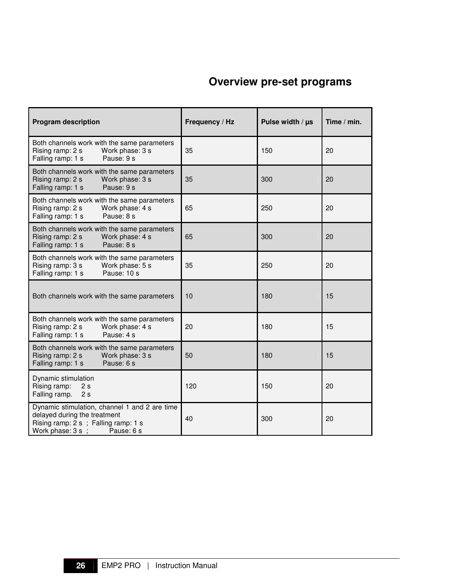### **Overview pre-set programs**

| <b>Program description</b>                                                                                                                              | Frequency / Hz | Pulse width / µs | Time $/$ min. |
|---------------------------------------------------------------------------------------------------------------------------------------------------------|----------------|------------------|---------------|
| Both channels work with the same parameters<br>Rising ramp: 2 s<br>Work phase: 3 s<br>Falling ramp: 1 s<br>Pause: 9 s                                   | 35             | 150              | 20            |
| Both channels work with the same parameters<br>Rising ramp: 2 s<br>Work phase: 3 s<br>Pause: 9 s<br>Falling ramp: 1 s                                   | 35             | 300              | 20            |
| Both channels work with the same parameters<br>Rising ramp: 2 s<br>Work phase: 4 s<br>Falling ramp: 1 s<br>Pause: 8 s                                   | 65             | 250              | 20            |
| Both channels work with the same parameters<br>Work phase: 4 s<br>Rising ramp: 2 s<br>Falling ramp: 1 s<br>Pause: 8 s                                   | 65             | 300              | 20            |
| Both channels work with the same parameters<br>Rising ramp: 3 s<br>Work phase: 5 s<br>Falling ramp: 1 s<br>Pause: 10 s                                  | 35             | 250              | 20            |
| Both channels work with the same parameters                                                                                                             | 10             | 180              | 15            |
| Both channels work with the same parameters<br>Rising ramp: 2 s<br>Work phase: 4 s<br>Pause: 4 s<br>Falling ramp: 1 s                                   | 20             | 180              | 15            |
| Both channels work with the same parameters<br>Rising ramp: 2 s<br>Work phase: 3 s<br>Pause: 6 s<br>Falling ramp: 1 s                                   | 50             | 180              | 15            |
| Dynamic stimulation<br>Rising ramp:<br>2s<br>Falling ramp.<br>2s                                                                                        | 120            | 150              | 20            |
| Dynamic stimulation, channel 1 and 2 are time<br>delayed during the treatment<br>Rising ramp: 2 s ; Falling ramp: 1 s<br>Work phase: 3 s;<br>Pause: 6 s | 40             | 300              | 20            |